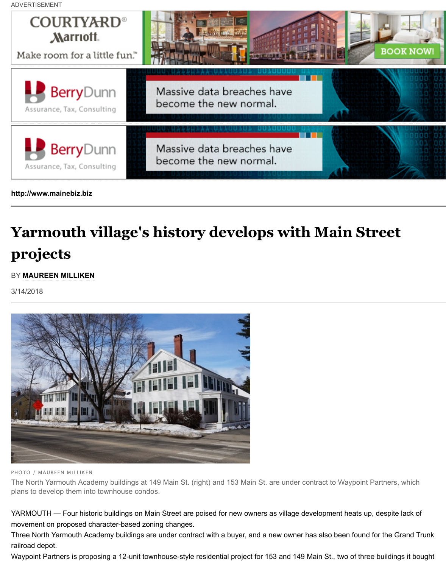

**[http://www.mainebiz.biz](http://mainebiz.advertserve.com/servlet/click/zone?zid=1&cid=846&mid=2486&pid=0&sid=19&uuid=4c8b942ffb07f10783c3cb0408100654&ip=69.49.155.184&default=false&random=87683043×tamp=20180315171833&test=false&resolution=1264x713&referrer=http%3A%2F%2Fmainebiz.biz%2Fapps%2Fpbcs.dll%2Farticle%3FAID%3D%2F20180314%2FNEWS%2F180319974%2F1095%26utm_source%3Denews%26utm_medium%3DREI%26utm_campaign%3DWednesday%26template%3Dprintart&redirect=http%3A%2F%2Fblog.berrydunn.com%2Fblog%2Fprotecting-your-identity-in-the-age-of-insanity)**

## **[Yarmouth village's history develops with Main Street](http://mainebiz.advertserve.com/servlet/click/zone?zid=1&cid=846&mid=2486&pid=0&sid=19&uuid=4c8b942ffb07f10783c3cb0408100654&ip=69.49.155.184&default=false&random=87683043×tamp=20180315171833&test=false&resolution=1264x713&referrer=http%3A%2F%2Fmainebiz.biz%2Fapps%2Fpbcs.dll%2Farticle%3FAID%3D%2F20180314%2FNEWS%2F180319974%2F1095%26utm_source%3Denews%26utm_medium%3DREI%26utm_campaign%3DWednesday%26template%3Dprintart&redirect=http%3A%2F%2Fblog.berrydunn.com%2Fblog%2Fprotecting-your-identity-in-the-age-of-insanity) projects**

## BY **MAUREEN MILLIKEN**

[3/14/2018](http://www.mainebiz.biz/)



PHOTO / MAUREEN MILLIKEN

The North Yarmouth Academy buildings at 149 Main St. (right) and 153 Main St. are under contract to Waypoin plans to develop them into townhouse condos.

YARMOUTH — Four historic buildings on Main Street are poised for new owners as village development heats u movement on proposed character-based zoning changes.

Three North Yarmouth Academy buildings are under contract with a buyer, and a new owner has also been foun railroad depot.

Waypoint Partners is proposing a 12-unit townhouse-style residential project for 153 and 149 Main St., two of thi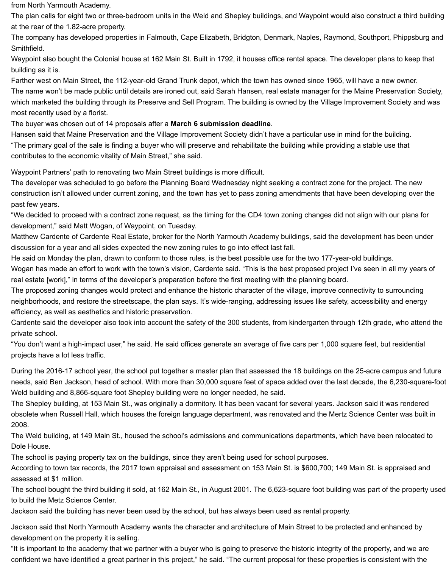The name won't be made public until details are in the Maine Preservation Sarah Hansen, real estate manager for the  $M$ which marketed the building through its Preserve and Sell Program. The building is owned by the Village Improv most recently used by a florist.

The buyer was chosen out of 14 proposals after a **March 6 submission deadline**.

Hansen said that Maine Preservation and the Village Improvement Society didn't have a particular use in mind for "The primary goal of the sale is finding a buyer who will preserve and rehabilitate the building while providing a s contributes to the economic vitality of Main Street," she said.

Waypoint Partners' path to renovating two Main Street buildings is more difficult.

The developer was scheduled to go before the Planning Board Wednesday night seeking a contract zone for the construction isn't allowed under current zoning, and the town has yet to pass zoning amendments that have bee past few years.

"We decided to proceed with a contract zone requ[est, as the timing for the CD4 tow](http://www.mainebiz.biz/article/20180227/NEWS01/180229951/on-the-market-unique-grand-trunk-depot-generates-major-interest)n zoning changes did not alig development," said Matt Wogan, of Waypoint, on Tuesday.

Matthew Cardente of Cardente Real Estate, broker for the North Yarmouth Academy buildings, said the develop discussion for a year and all sides expected the new zoning rules to go into effect last fall.

He said on Monday the plan, drawn to conform to those rules, is the best possible use for the two 177-year-old b Wogan has made an effort to work with the town's vision, Cardente said. "This is the best proposed project I've s real estate [work]," in terms of the developer's preparation before the first meeting with the planning board.

The proposed zoning changes would protect and enhance the historic character of the village, improve connectivity neighborhoods, and restore the streetscape, the plan says. It's wide-ranging, addressing issues like safety, acce efficiency, as well as aesthetics and historic preservation.

Cardente said the developer also took into account the safety of the 300 students, from kindergarten through 12 private school.

"You don't want a high-impact user," he said. He said offices generate an average of five cars per 1,000 square f projects have a lot less traffic.

During the 2016-17 school year, the school put together a master plan that assessed the 18 buildings on the 25needs, said Ben Jackson, head of school. With more than 30,000 square feet of space added over the last deca Weld building and 8,866-square foot Shepley building were no longer needed, he said.

The Shepley building, at 153 Main St., was originally a dormitory. It has been vacant for several years. Jackson s obsolete when Russell Hall, which houses the foreign language department, was renovated and the Mertz Scier 2008.

The Weld building, at 149 Main St., housed the school's admissions and communications departments, which have been relacted to Dole House.

The school is paying property tax on the buildings, since they aren't being used for school purposes.

According to town tax records, the 2017 town appraisal and assessment on 153 Main St. is \$600,700; 149 Main assessed at \$1 million.

The school bought the third building it sold, at 162 Main St., in August 2001. The 6,623-square foot building was to build the Metz Science Center.

Jackson said the building has never been used by the school, but has always been used as rental property.

Jackson said that North Yarmouth Academy wants the character and architecture of Main Street to be protected development on the property it is selling.

"It is important to the academy that we partner with a buyer who is going to preserve the historic integrity of the p confident we have identified a great partner in this project," he said. "The current proposal for these properties is